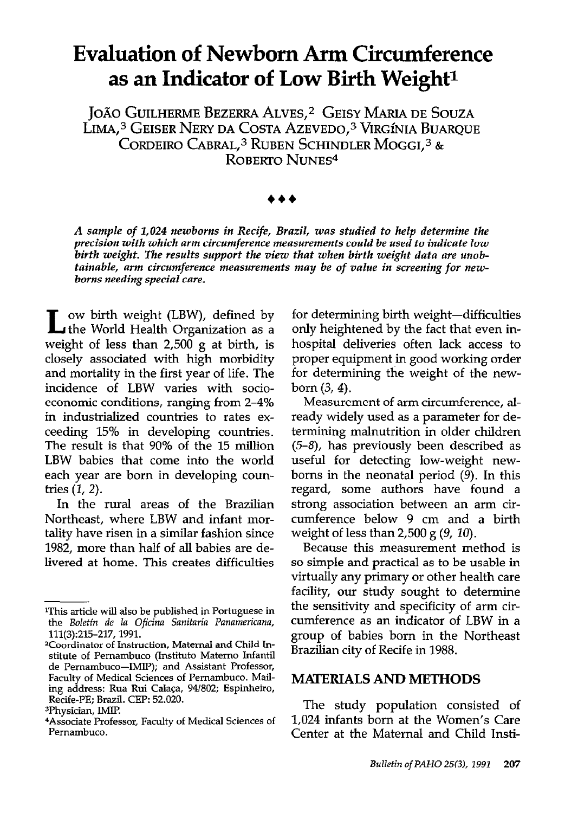# Evaluation of Newborn Arm Circumference as an Indicator of Low Birth Weight<sup>1</sup>

JOÃO GUILHERME BEZERRA ALVES,<sup>2</sup> GEISY MARIA DE SOUZA LIMA,<sup>3</sup> GEISER NERY DA COSTA AZEVEDO,<sup>3</sup> VIRGÍNIA BUARQUE CORDEIRO CABRAL,<sup>3</sup> RUBEN SCHINDLER MOGGI,<sup>3</sup> & ROBERTO NUNES<sup>4</sup>

A sample of 1,024 newborns in Recife, Brazil, was studied to help determine the precision with which arm circumference measurements could be used to indicate low birth weight. The results support the view that when birth weight data are unobtainable, arm circumference measurements may be of value in screening for newborns needing special care.

L ow birth weight (LBW), defined by the World Health Organization as a weight of less than 2,500 g at birth, is closely associated with high morbidity and mortality in the first year of life. The incidence of LBW varies with socioeconomic conditions, ranging from 2-4% in industrialized countries to rates exceeding 15% in developing countries. The result is that 90% of the 15 million LBW babies that come into the world each year are born in developing countries  $(1, 2)$ .

In the rural areas of the Brazilian Northeast, where LBW and infant mortality have risen in a similar fashion since 1982, more than half of all babies are delivered at home. This creates difficulties

for determining birth weight-difficulties only heightened by the fact that even inhospital deliveries often lack access to proper equipment in good working order for determining the weight of the newborn (3, 4).

Measurement of arm circumference, already widely used as a parameter for determining malnutrition in older children (5-8), has previously been described as useful for detecting low-weight newborns in the neonatal period (9). In this regard, some authors have found a strong association between an arm circumference below 9 cm and a birth weight of less than  $2,500$  g  $(9, 10)$ .

Because this measurement method is so simple and practical as to be usable in virtually any primary or other health care facility, our study sought to determine the sensitivity and specificity of arm circumference as an indicator of LBW in a group of babies born in the Northeast Brazilian city of Recife in 1988.

### MATERIALS AND METHODS

The study population consisted of 1,024 infants born at the Women's Care Center at the Maternal and Child Insti-

<sup>&</sup>lt;sup>1</sup>This article will also be published in Portuguese in the Bolefin de la Oficina Sanitaria Panamericana, 111(3):215-217,199l.

<sup>&</sup>lt;sup>2</sup>Coordinator of Instruction, Maternal and Child Institute of Pemambuco (Institute Matemo Infantil de Pemambuco-IMP); and Assistant Professor, Faculty of Medical Sciences of Pernambuco. Mailing address: Rua Rui CaIaca, 94/802; Espinheiro, Recife-PE; Brazil. CEP: 52.020.

<sup>&</sup>lt;sup>3</sup>Physician, IMIP.

<sup>4</sup>Associate Professor, Faculty of Medical Sciences of Pernambuco.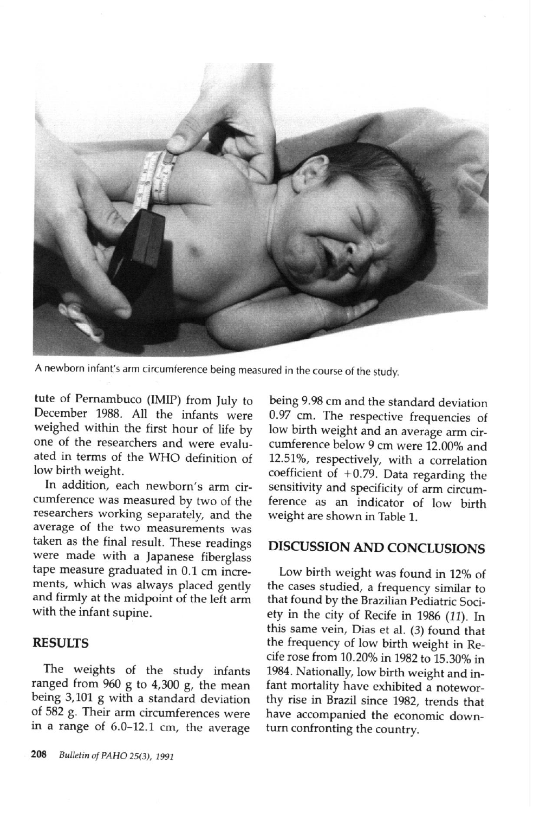

<sup>A</sup>newborn infant's arm circumference being measured in the course of the study.

tute of Pemambuco (IMP) from July to December 1988. All the infants were weighed within the first hour of life by one of the researchers and were evaluated in terms of the WHO definition of low birth weight.

In addition, each newborn's arm circumference was measured by two of the researchers working separately, and the average of the two measurements was taken as the final result. These readings were made with a Japanese fiberglass tape measure graduated in 0.1 cm increments, which was always placed gently and firmly at the midpoint of the left arm with the infant supine.

## RESULTS

The weights of the study infants ranged from 960 g to 4,300 g, the mean being 3,101 g with a standard deviation of 582 g. Their arm circumferences were in a range of 6.0-12.1 cm, the average

being 9.98 cm and the standard deviation 0.97 cm. The respective frequencies of low birth weight and an average arm circumference below 9 cm were 12.00% and 12.51%, respectively, with a correlation coefficient of  $+0.79$ . Data regarding the sensitivity and specificity of arm circumference as an indicator of low birth weight are shown in Table 1.

# DISCUSSION AND CONCLUSIONS

Low birth weight was found in 12% of the cases studied, a frequency similar to that found by the Brazilian Pediatric Society in the city of Recife in 1986 (11). In this same vein, Dias et al. (3) found that the frequency of low birth weight in Recife rose from 10.20% in 1982 to 15.30% in 1984. Nationally, low birth weight and infant mortality have exhibited a noteworthy rise in Brazil since 1982, trends that have accompanied the economic downturn confronting the country.